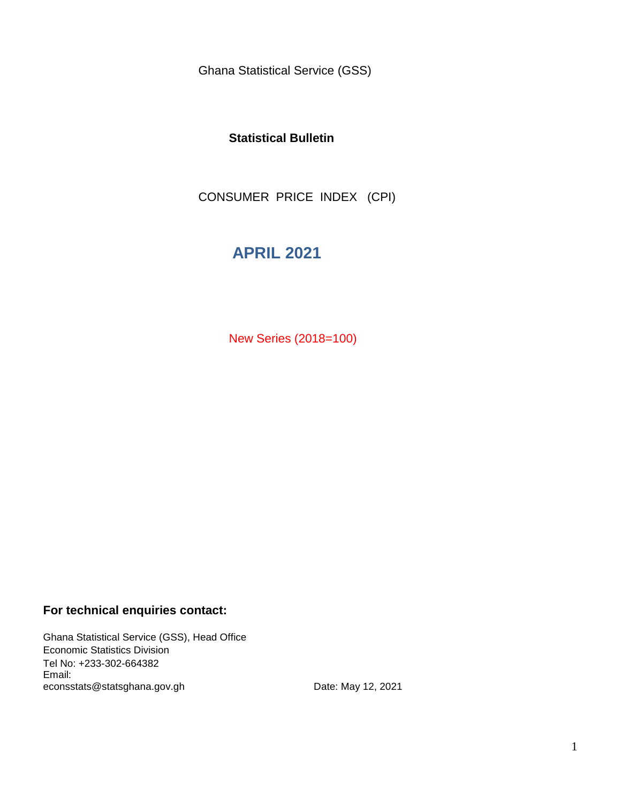Ghana Statistical Service (GSS)

### **Statistical Bulletin**

CONSUMER PRICE INDEX (CPI)

# **APRIL 2021**

New Series (2018=100)

### **For technical enquiries contact:**

Ghana Statistical Service (GSS), Head Office Economic Statistics Division Tel No: +233-302-664382 Email: econsstats@statsghana.gov.gh

Date: May 12, 2021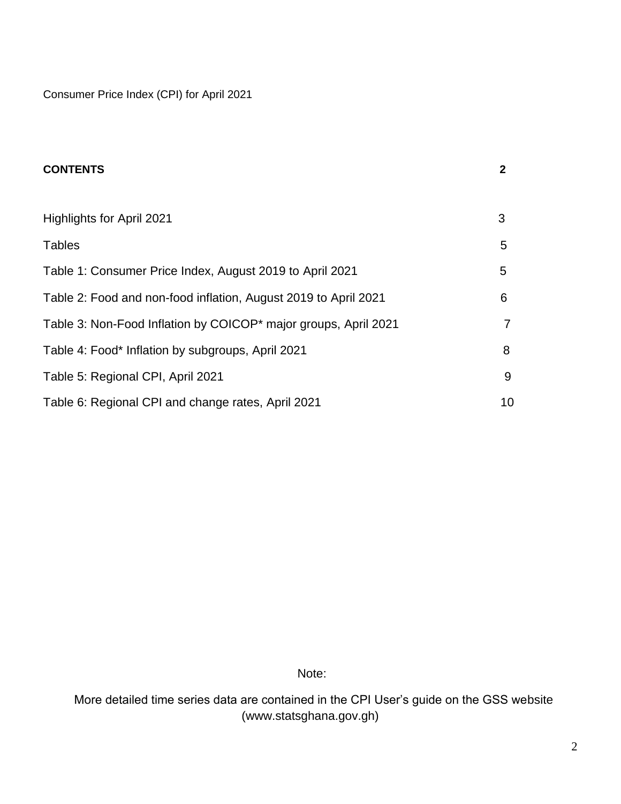Consumer Price Index (CPI) for April 2021

| <b>CONTENTS</b>                                                 | $\mathbf{2}$ |
|-----------------------------------------------------------------|--------------|
|                                                                 |              |
| Highlights for April 2021                                       | 3            |
| <b>Tables</b>                                                   | 5            |
| Table 1: Consumer Price Index, August 2019 to April 2021        | 5            |
| Table 2: Food and non-food inflation, August 2019 to April 2021 | 6            |
| Table 3: Non-Food Inflation by COICOP* major groups, April 2021 |              |
| Table 4: Food* Inflation by subgroups, April 2021               | 8            |
| Table 5: Regional CPI, April 2021                               | 9            |
| Table 6: Regional CPI and change rates, April 2021              | 10           |

Note:

 More detailed time series data are contained in the CPI User's guide on the GSS website (www.statsghana.gov.gh)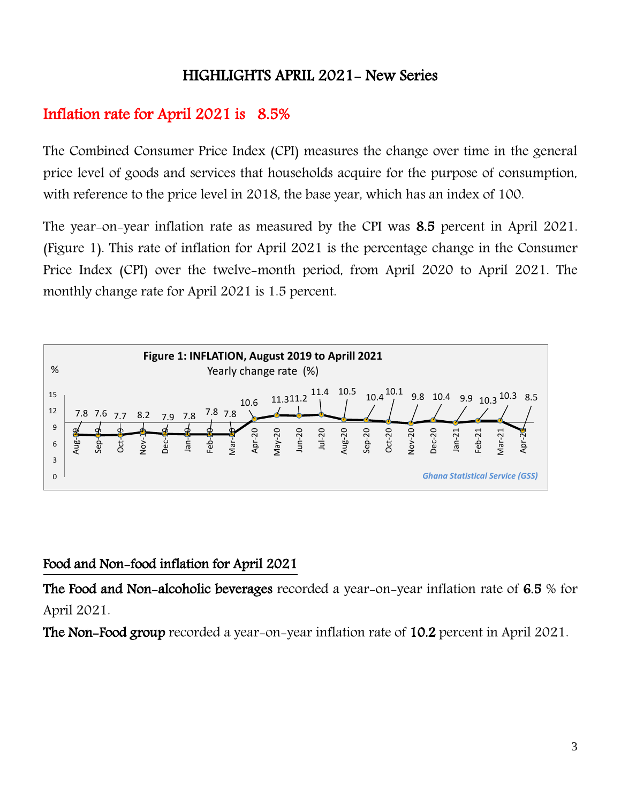## HIGHLIGHTS APRIL 2021- New Series

# Inflation rate for April 2021 is 8.5%

The Combined Consumer Price Index (CPI) measures the change over time in the general price level of goods and services that households acquire for the purpose of consumption, with reference to the price level in 2018, the base year, which has an index of 100.

The year-on-year inflation rate as measured by the CPI was 8.5 percent in April 2021. (Figure 1). This rate of inflation for April 2021 is the percentage change in the Consumer Price Index (CPI) over the twelve-month period, from April 2020 to April 2021. The monthly change rate for April 2021 is 1.5 percent.



## Food and Non-food inflation for April 2021

The Food and Non-alcoholic beverages recorded a year-on-year inflation rate of 6.5 % for April 2021.

The Non-Food group recorded a year-on-year inflation rate of 10.2 percent in April 2021.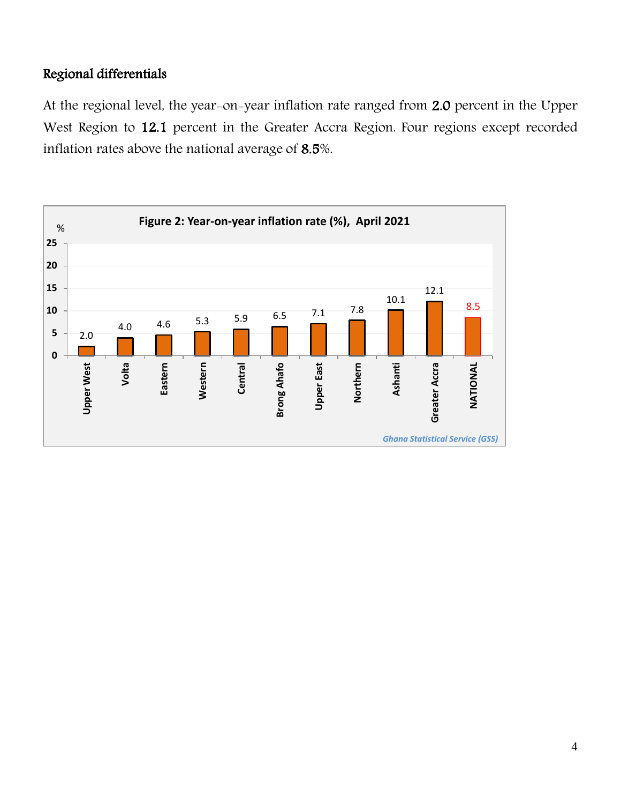## Regional differentials

At the regional level, the year-on-year inflation rate ranged from 2.0 percent in the Upper West Region to 12.1 percent in the Greater Accra Region. Four regions except recorded inflation rates above the national average of 8.5%.

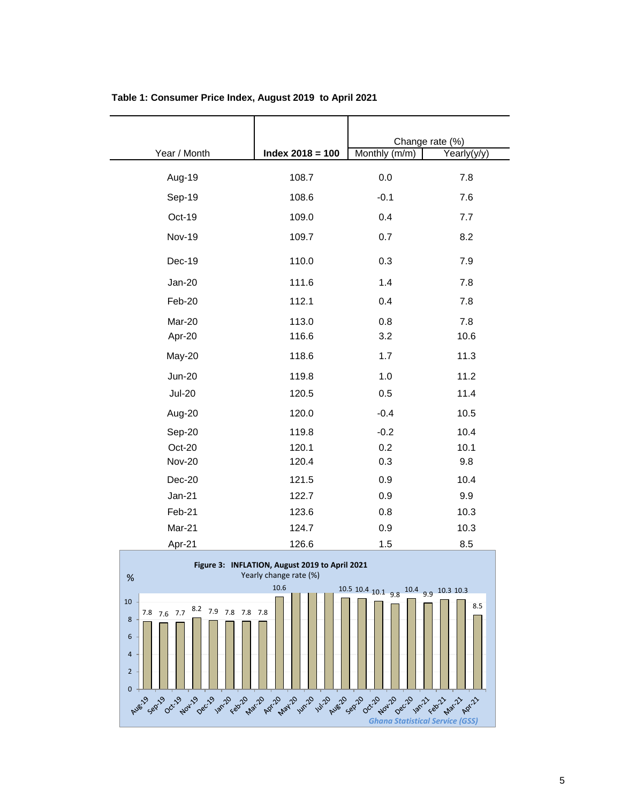|               |                    | Change rate (%) |             |
|---------------|--------------------|-----------------|-------------|
| Year / Month  | Index $2018 = 100$ | Monthly (m/m)   | Yearly(y/y) |
| Aug-19        | 108.7              | 0.0             | 7.8         |
| Sep-19        | 108.6              | $-0.1$          | 7.6         |
| Oct-19        | 109.0              | 0.4             | 7.7         |
| <b>Nov-19</b> | 109.7              | 0.7             | 8.2         |
| Dec-19        | 110.0              | 0.3             | 7.9         |
| $Jan-20$      | 111.6              | 1.4             | 7.8         |
| Feb-20        | 112.1              | 0.4             | 7.8         |
| Mar-20        | 113.0              | 0.8             | 7.8         |
| Apr-20        | 116.6              | 3.2             | 10.6        |
| May-20        | 118.6              | 1.7             | 11.3        |
| <b>Jun-20</b> | 119.8              | 1.0             | 11.2        |
| <b>Jul-20</b> | 120.5              | 0.5             | 11.4        |
| Aug-20        | 120.0              | $-0.4$          | 10.5        |
| Sep-20        | 119.8              | $-0.2$          | 10.4        |
| Oct-20        | 120.1              | 0.2             | 10.1        |
| <b>Nov-20</b> | 120.4              | 0.3             | 9.8         |
| Dec-20        | 121.5              | 0.9             | 10.4        |
| $Jan-21$      | 122.7              | 0.9             | 9.9         |
| Feb-21        | 123.6              | 0.8             | 10.3        |
| Mar-21        | 124.7              | 0.9             | 10.3        |
| Apr-21        | 126.6              | 1.5             | 8.5         |

### **Table 1: Consumer Price Index, August 2019 to April 2021**

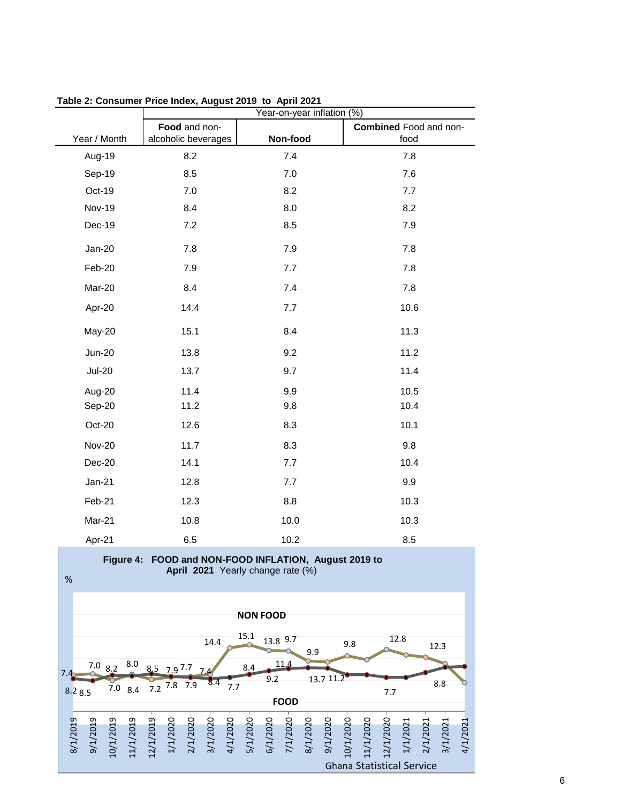|               | Year-on-year inflation (%) |          |                        |
|---------------|----------------------------|----------|------------------------|
|               | Food and non-              |          | Combined Food and non- |
| Year / Month  | alcoholic beverages        | Non-food | food                   |
| Aug-19        | 8.2                        | 7.4      | 7.8                    |
| Sep-19        | 8.5                        | 7.0      | 7.6                    |
| Oct-19        | 7.0                        | 8.2      | 7.7                    |
| <b>Nov-19</b> | 8.4                        | 8.0      | 8.2                    |
| Dec-19        | 7.2                        | 8.5      | 7.9                    |
| Jan-20        | 7.8                        | 7.9      | 7.8                    |
| Feb-20        | 7.9                        | 7.7      | 7.8                    |
| Mar-20        | 8.4                        | 7.4      | 7.8                    |
| Apr-20        | 14.4                       | 7.7      | 10.6                   |
| May-20        | 15.1                       | 8.4      | 11.3                   |
| <b>Jun-20</b> | 13.8                       | 9.2      | 11.2                   |
| <b>Jul-20</b> | 13.7                       | 9.7      | 11.4                   |
| Aug-20        | 11.4                       | 9.9      | 10.5                   |
| Sep-20        | 11.2                       | 9.8      | 10.4                   |
| Oct-20        | 12.6                       | 8.3      | 10.1                   |
| <b>Nov-20</b> | 11.7                       | 8.3      | 9.8                    |
| Dec-20        | 14.1                       | 7.7      | 10.4                   |
| Jan-21        | 12.8                       | 7.7      | 9.9                    |
| Feb-21        | 12.3                       | 8.8      | 10.3                   |
| Mar-21        | 10.8                       | 10.0     | 10.3                   |
| Apr-21        | 6.5                        | 10.2     | 8.5                    |

**Table 2: Consumer Price Index, August 2019 to April 2021**

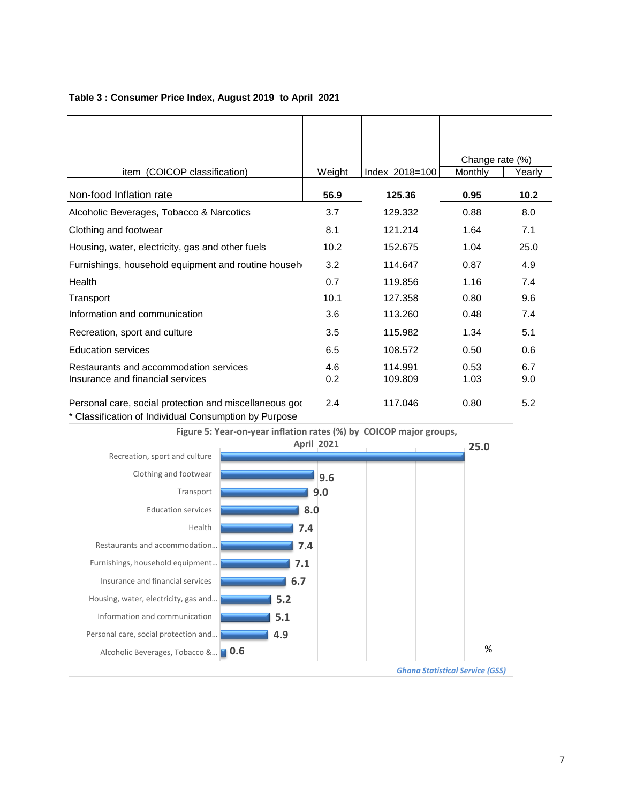|                                                                                                                 |            |                    | Change rate (%) |            |
|-----------------------------------------------------------------------------------------------------------------|------------|--------------------|-----------------|------------|
| (COICOP classification)<br>item                                                                                 | Weight     | Index 2018=100     | Monthly         | Yearly     |
| Non-food Inflation rate                                                                                         | 56.9       | 125.36             | 0.95            | 10.2       |
| Alcoholic Beverages, Tobacco & Narcotics                                                                        | 3.7        | 129.332            | 0.88            | 8.0        |
| Clothing and footwear                                                                                           | 8.1        | 121.214            | 1.64            | 7.1        |
| Housing, water, electricity, gas and other fuels                                                                | 10.2       | 152.675            | 1.04            | 25.0       |
| Furnishings, household equipment and routine househ                                                             | 3.2        | 114.647            | 0.87            | 4.9        |
| Health                                                                                                          | 0.7        | 119.856            | 1.16            | 7.4        |
| Transport                                                                                                       | 10.1       | 127.358            | 0.80            | 9.6        |
| Information and communication                                                                                   | 3.6        | 113.260            | 0.48            | 7.4        |
| Recreation, sport and culture                                                                                   | 3.5        | 115.982            | 1.34            | 5.1        |
| <b>Education services</b>                                                                                       | 6.5        | 108.572            | 0.50            | 0.6        |
| Restaurants and accommodation services<br>Insurance and financial services                                      | 4.6<br>0.2 | 114.991<br>109.809 | 0.53<br>1.03    | 6.7<br>9.0 |
| Personal care, social protection and miscellaneous god<br>* Classification of Individual Consumption by Purpose | 2.4        | 117.046            | 0.80            | 5.2        |

### **Table 3 : Consumer Price Index, August 2019 to April 2021**

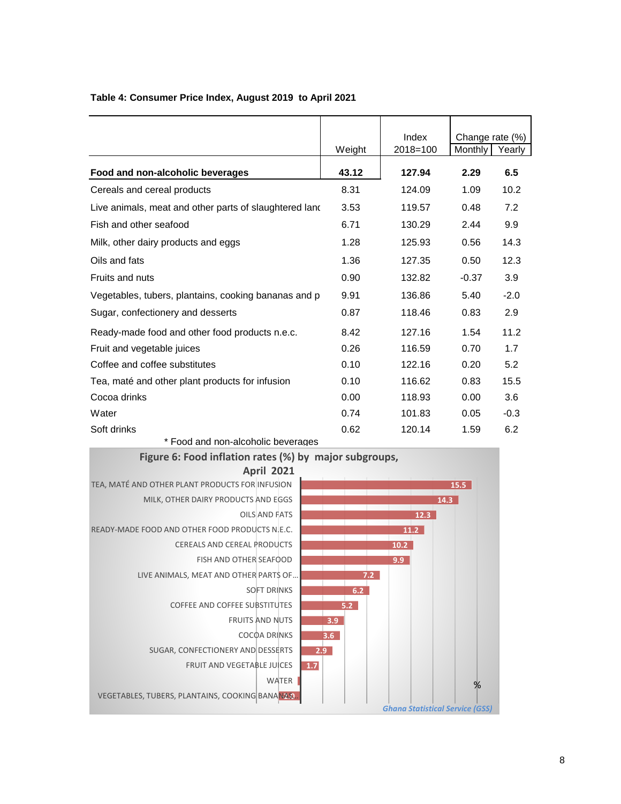|                                                        |        | Index    | Change rate (%) |        |
|--------------------------------------------------------|--------|----------|-----------------|--------|
|                                                        | Weight | 2018=100 | Monthly         | Yearly |
| Food and non-alcoholic beverages                       | 43.12  | 127.94   | 2.29            | 6.5    |
| Cereals and cereal products                            | 8.31   | 124.09   | 1.09            | 10.2   |
| Live animals, meat and other parts of slaughtered land | 3.53   | 119.57   | 0.48            | 7.2    |
| Fish and other seafood                                 | 6.71   | 130.29   | 2.44            | 9.9    |
| Milk, other dairy products and eggs                    | 1.28   | 125.93   | 0.56            | 14.3   |
| Oils and fats                                          | 1.36   | 127.35   | 0.50            | 12.3   |
| Fruits and nuts                                        | 0.90   | 132.82   | $-0.37$         | 3.9    |
| Vegetables, tubers, plantains, cooking bananas and p   | 9.91   | 136.86   | 5.40            | $-2.0$ |
| Sugar, confectionery and desserts                      | 0.87   | 118.46   | 0.83            | 2.9    |
| Ready-made food and other food products n.e.c.         | 8.42   | 127.16   | 1.54            | 11.2   |
| Fruit and vegetable juices                             | 0.26   | 116.59   | 0.70            | 1.7    |
| Coffee and coffee substitutes                          | 0.10   | 122.16   | 0.20            | 5.2    |
| Tea, maté and other plant products for infusion        | 0.10   | 116.62   | 0.83            | 15.5   |
| Cocoa drinks                                           | 0.00   | 118.93   | 0.00            | 3.6    |
| Water                                                  | 0.74   | 101.83   | 0.05            | $-0.3$ |
| Soft drinks                                            | 0.62   | 120.14   | 1.59            | 6.2    |

### **Table 4: Consumer Price Index, August 2019 to April 2021**

\* Food and non-alcoholic beverages



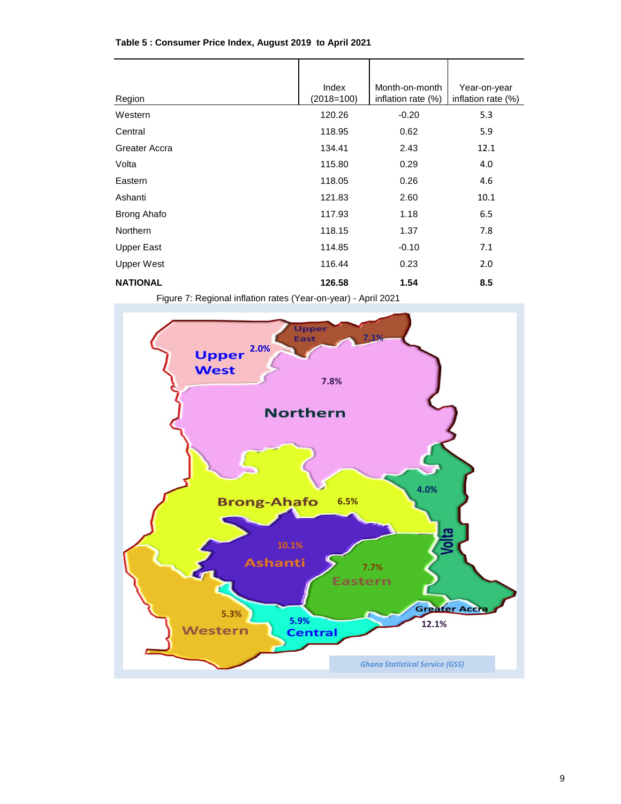| Region             | Index<br>$(2018=100)$ | Month-on-month<br>inflation rate (%) | Year-on-year<br>inflation rate (%) |
|--------------------|-----------------------|--------------------------------------|------------------------------------|
| Western            | 120.26                | $-0.20$                              | 5.3                                |
| Central            | 118.95                | 0.62                                 | 5.9                                |
| Greater Accra      | 134.41                | 2.43                                 | 12.1                               |
| Volta              | 115.80                | 0.29                                 | 4.0                                |
| Eastern            | 118.05                | 0.26                                 | 4.6                                |
| Ashanti            | 121.83                | 2.60                                 | 10.1                               |
| <b>Brong Ahafo</b> | 117.93                | 1.18                                 | 6.5                                |
| <b>Northern</b>    | 118.15                | 1.37                                 | 7.8                                |
| <b>Upper East</b>  | 114.85                | $-0.10$                              | 7.1                                |
| Upper West         | 116.44                | 0.23                                 | 2.0                                |
| <b>NATIONAL</b>    | 126.58                | 1.54                                 | 8.5                                |

### **Table 5 : Consumer Price Index, August 2019 to April 2021**

Figure 7: Regional inflation rates (Year-on-year) - April 2021